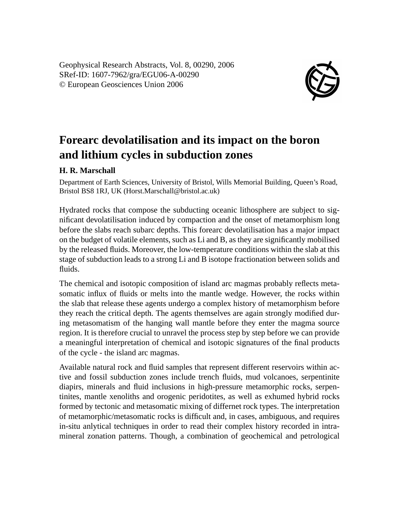Geophysical Research Abstracts, Vol. 8, 00290, 2006 SRef-ID: 1607-7962/gra/EGU06-A-00290 © European Geosciences Union 2006



## **Forearc devolatilisation and its impact on the boron and lithium cycles in subduction zones**

## **H. R. Marschall**

Department of Earth Sciences, University of Bristol, Wills Memorial Building, Queen's Road, Bristol BS8 1RJ, UK (Horst.Marschall@bristol.ac.uk)

Hydrated rocks that compose the subducting oceanic lithosphere are subject to significant devolatilisation induced by compaction and the onset of metamorphism long before the slabs reach subarc depths. This forearc devolatilisation has a major impact on the budget of volatile elements, such as Li and B, as they are significantly mobilised by the released fluids. Moreover, the low-temperature conditions within the slab at this stage of subduction leads to a strong Li and B isotope fractionation between solids and fluids.

The chemical and isotopic composition of island arc magmas probably reflects metasomatic influx of fluids or melts into the mantle wedge. However, the rocks within the slab that release these agents undergo a complex history of metamorphism before they reach the critical depth. The agents themselves are again strongly modified during metasomatism of the hanging wall mantle before they enter the magma source region. It is therefore crucial to unravel the process step by step before we can provide a meaningful interpretation of chemical and isotopic signatures of the final products of the cycle - the island arc magmas.

Available natural rock and fluid samples that represent different reservoirs within active and fossil subduction zones include trench fluids, mud volcanoes, serpentinite diapirs, minerals and fluid inclusions in high-pressure metamorphic rocks, serpentinites, mantle xenoliths and orogenic peridotites, as well as exhumed hybrid rocks formed by tectonic and metasomatic mixing of differnet rock types. The interpretation of metamorphic/metasomatic rocks is difficult and, in cases, ambiguous, and requires in-situ anlytical techniques in order to read their complex history recorded in intramineral zonation patterns. Though, a combination of geochemical and petrological